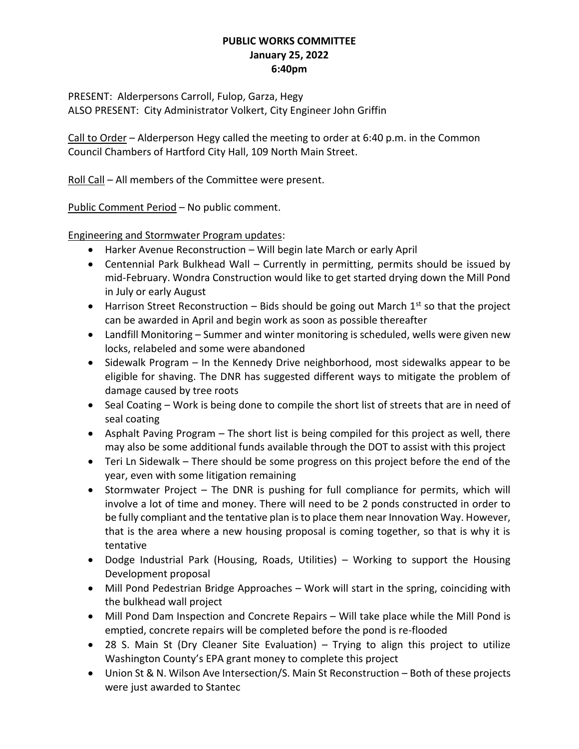## **PUBLIC WORKS COMMITTEE January 25, 2022 6:40pm**

PRESENT: Alderpersons Carroll, Fulop, Garza, Hegy ALSO PRESENT: City Administrator Volkert, City Engineer John Griffin

Call to Order – Alderperson Hegy called the meeting to order at 6:40 p.m. in the Common Council Chambers of Hartford City Hall, 109 North Main Street.

Roll Call – All members of the Committee were present.

Public Comment Period – No public comment.

Engineering and Stormwater Program updates:

- Harker Avenue Reconstruction Will begin late March or early April
- Centennial Park Bulkhead Wall Currently in permitting, permits should be issued by mid-February. Wondra Construction would like to get started drying down the Mill Pond in July or early August
- **Harrison Street Reconstruction Bids should be going out March 1st so that the project** can be awarded in April and begin work as soon as possible thereafter
- Landfill Monitoring Summer and winter monitoring is scheduled, wells were given new locks, relabeled and some were abandoned
- Sidewalk Program In the Kennedy Drive neighborhood, most sidewalks appear to be eligible for shaving. The DNR has suggested different ways to mitigate the problem of damage caused by tree roots
- Seal Coating Work is being done to compile the short list of streets that are in need of seal coating
- Asphalt Paving Program The short list is being compiled for this project as well, there may also be some additional funds available through the DOT to assist with this project
- Teri Ln Sidewalk There should be some progress on this project before the end of the year, even with some litigation remaining
- Stormwater Project The DNR is pushing for full compliance for permits, which will involve a lot of time and money. There will need to be 2 ponds constructed in order to be fully compliant and the tentative plan is to place them near Innovation Way. However, that is the area where a new housing proposal is coming together, so that is why it is tentative
- Dodge Industrial Park (Housing, Roads, Utilities) Working to support the Housing Development proposal
- Mill Pond Pedestrian Bridge Approaches Work will start in the spring, coinciding with the bulkhead wall project
- Mill Pond Dam Inspection and Concrete Repairs Will take place while the Mill Pond is emptied, concrete repairs will be completed before the pond is re-flooded
- 28 S. Main St (Dry Cleaner Site Evaluation) Trying to align this project to utilize Washington County's EPA grant money to complete this project
- Union St & N. Wilson Ave Intersection/S. Main St Reconstruction Both of these projects were just awarded to Stantec